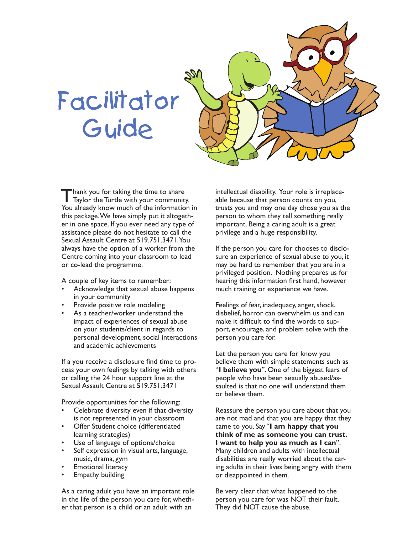## Facilitator Guide



Thank you for taking the time to share Taylor the Turtle with your community. You already know much of the information in this package. We have simply put it altogether in one space. If you ever need any type of assistance please do not hesitate to call the Sexual Assault Centre at 519.751.3471. You always have the option of a worker from the Centre coming into your classroom to lead or co-lead the programme.

A couple of key items to remember:

- Acknowledge that sexual abuse happens in your community
- Provide positive role modeling
- As a teacher/worker understand the impact of experiences of sexual abuse on your students/client in regards to personal development, social interactions and academic achievements

If a you receive a disclosure find time to process your own feelings by talking with others or calling the 24 hour support line at the Sexual Assault Centre at 519.751.3471

Provide opportunities for the following:

- Celebrate diversity even if that diversity is not represented in your classroom
- Offer Student choice (differentiated learning strategies)
- Use of language of options/choice
- Self expression in visual arts, language, music, drama, gym
- **Emotional literacy**
- **Empathy building**

As a caring adult you have an important role in the life of the person you care for, whether that person is a child or an adult with an

intellectual disability. Your role is irreplaceable because that person counts on you, trusts you and may one day chose you as the person to whom they tell something really important. Being a caring adult is a great privilege and a huge responsibility.

If the person you care for chooses to disclosure an experience of sexual abuse to you, it may be hard to remember that you are in a privileged position. Nothing prepares us for hearing this information first hand, however much training or experience we have.

Feelings of fear, inadequacy, anger, shock, disbelief, horror can overwhelm us and can make it difficult to find the words to support, encourage, and problem solve with the person you care for.

Let the person you care for know you believe them with simple statements such as "**I believe you**". One of the biggest fears of people who have been sexually abused/assaulted is that no one will understand them or believe them.

Reassure the person you care about that you are not mad and that you are happy that they came to you. Say "**I am happy that you think of me as someone you can trust. I want to help you as much as I can**". Many children and adults with intellectual disabilities are really worried about the caring adults in their lives being angry with them or disappointed in them.

Be very clear that what happened to the person you care for was NOT their fault. They did NOT cause the abuse.